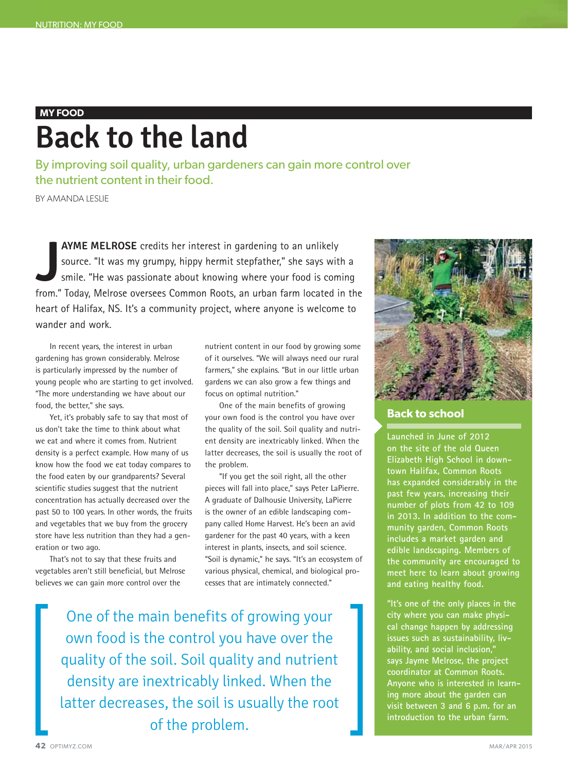## **MY FOOD**

# **Back to the land**

By improving soil quality, urban gardeners can gain more control over the nutrient content in their food.

BY AMANDA LESLIE

**JAYME MELROSE** credits her interest in gardening to an unlikely source. "It was my grumpy, hippy hermit stepfather," she says with a smile. "He was passionate about knowing where your food is coming from." Today, Melrose **AYME MELROSE** credits her interest in gardening to an unlikely source. "It was my grumpy, hippy hermit stepfather," she says with a smile. "He was passionate about knowing where your food is coming heart of Halifax, NS. It's a community project, where anyone is welcome to wander and work.

In recent years, the interest in urban gardening has grown considerably. Melrose is particularly impressed by the number of young people who are starting to get involved. "The more understanding we have about our food, the better," she says.

Yet, it's probably safe to say that most of us don't take the time to think about what we eat and where it comes from. Nutrient density is a perfect example. How many of us know how the food we eat today compares to the food eaten by our grandparents? Several scientific studies suggest that the nutrient concentration has actually decreased over the past 50 to 100 years. In other words, the fruits and vegetables that we buy from the grocery store have less nutrition than they had a generation or two ago.

That's not to say that these fruits and vegetables aren't still beneficial, but Melrose believes we can gain more control over the

nutrient content in our food by growing some of it ourselves. "We will always need our rural farmers," she explains. "But in our little urban gardens we can also grow a few things and focus on optimal nutrition."

One of the main benefits of growing your own food is the control you have over the quality of the soil. Soil quality and nutrient density are inextricably linked. When the latter decreases, the soil is usually the root of the problem.

"If you get the soil right, all the other pieces will fall into place," says Peter LaPierre. A graduate of Dalhousie University, LaPierre is the owner of an edible landscaping company called Home Harvest. He's been an avid gardener for the past 40 years, with a keen interest in plants, insects, and soil science. "Soil is dynamic," he says. "It's an ecosystem of various physical, chemical, and biological processes that are intimately connected."

One of the main benefits of growing your own food is the control you have over the quality of the soil. Soil quality and nutrient density are inextricably linked. When the latter decreases, the soil is usually the root of the problem.



## **Back to school**

**Launched in June of 2012 on the site of the old Queen Elizabeth High School in downtown Halifax, Common Roots has expanded considerably in the past few years, increasing their number of plots from 42 to 109 in 2013. In addition to the community garden, Common Roots includes a market garden and edible landscaping. Members of the community are encouraged to meet here to learn about growing and eating healthy food.**

**"It's one of the only places in the city where you can make physical change happen by addressing issues such as sustainability, livability, and social inclusion," says Jayme Melrose, the project coordinator at Common Roots. Anyone who is interested in learning more about the garden can visit between 3 and 6 p.m. for an introduction to the urban farm.**